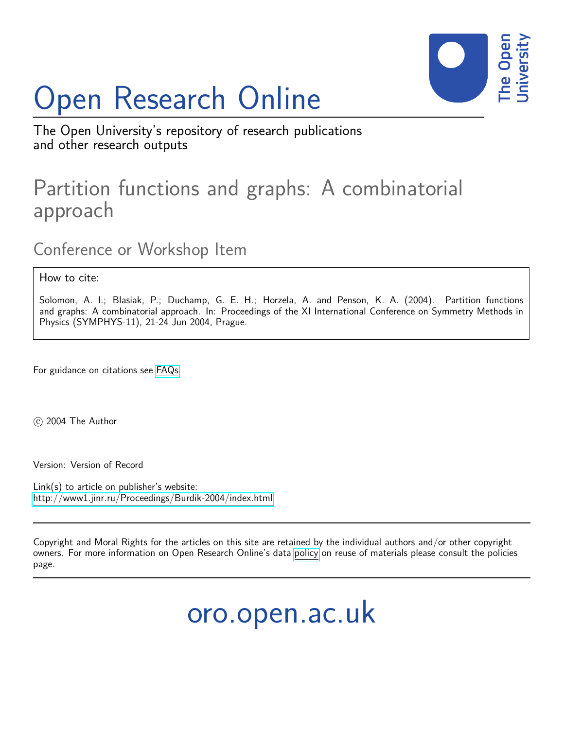# Open Research Online



The Open University's repository of research publications and other research outputs

# Partition functions and graphs: A combinatorial approach

Conference or Workshop Item

How to cite:

Solomon, A. I.; Blasiak, P.; Duchamp, G. E. H.; Horzela, A. and Penson, K. A. (2004). Partition functions and graphs: A combinatorial approach. In: Proceedings of the XI International Conference on Symmetry Methods in Physics (SYMPHYS-11), 21-24 Jun 2004, Prague.

For guidance on citations see [FAQs.](http://oro.open.ac.uk/help/helpfaq.html)

 $(c)$  2004 The Author

Version: Version of Record

Link(s) to article on publisher's website: <http://www1.jinr.ru/Proceedings/Burdik-2004/index.html>

Copyright and Moral Rights for the articles on this site are retained by the individual authors and/or other copyright owners. For more information on Open Research Online's data [policy](http://oro.open.ac.uk/policies.html) on reuse of materials please consult the policies page.

oro.open.ac.uk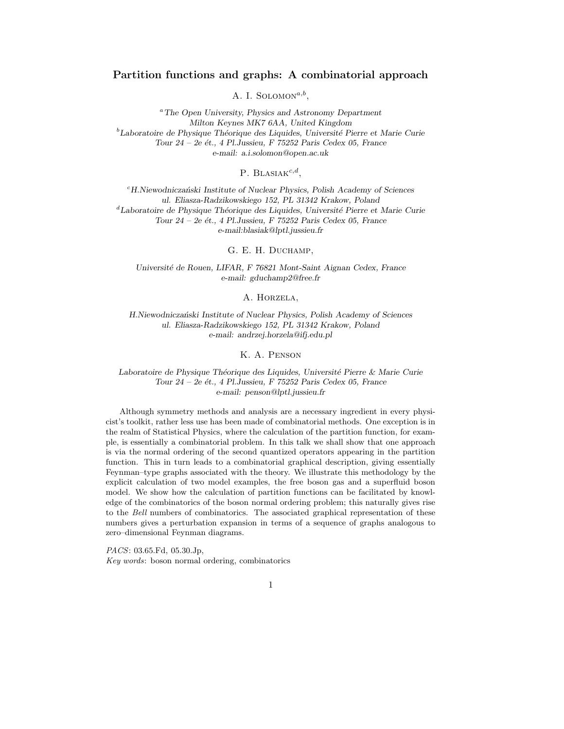# Partition functions and graphs: A combinatorial approach

A. I. SOLOMON<sup> $a,b$ </sup>,

<sup>a</sup>The Open University, Physics and Astronomy Department Milton Keynes MK7 6AA, United Kingdom  ${}^{b}$ Laboratoire de Physique Théorique des Liquides, Université Pierre et Marie Curie Tour  $24 - 2e$  ét., 4 Pl. Jussieu, F 75252 Paris Cedex 05, France e-mail: a.i.solomon@open.ac.uk

P. BLASIA $K^{c,d}$ ,

 $c$ H.Niewodniczański Institute of Nuclear Physics, Polish Academy of Sciences ul. Eliasza-Radzikowskiego 152, PL 31342 Krakow, Poland  ${}^d$ Laboratoire de Physique Théorique des Liquides, Université Pierre et Marie Curie Tour  $24 - 2e$  ét., 4 Pl. Jussieu, F 75252 Paris Cedex 05, France e-mail:blasiak@lptl.jussieu.fr

G. E. H. Duchamp,

Université de Rouen, LIFAR, F 76821 Mont-Saint Aignan Cedex, France e-mail: gduchamp2@free.fr

A. Horzela,

H.Niewodniczański Institute of Nuclear Physics, Polish Academy of Sciences ul. Eliasza-Radzikowskiego 152, PL 31342 Krakow, Poland e-mail: andrzej.horzela@ifj.edu.pl

K. A. Penson

Laboratoire de Physique Théorique des Liquides, Université Pierre & Marie Curie Tour  $24 - 2e$  ét., 4 Pl.Jussieu, F 75252 Paris Cedex 05, France e-mail: penson@lptl.jussieu.fr

Although symmetry methods and analysis are a necessary ingredient in every physicist's toolkit, rather less use has been made of combinatorial methods. One exception is in the realm of Statistical Physics, where the calculation of the partition function, for example, is essentially a combinatorial problem. In this talk we shall show that one approach is via the normal ordering of the second quantized operators appearing in the partition function. This in turn leads to a combinatorial graphical description, giving essentially Feynman–type graphs associated with the theory. We illustrate this methodology by the explicit calculation of two model examples, the free boson gas and a superfluid boson model. We show how the calculation of partition functions can be facilitated by knowledge of the combinatorics of the boson normal ordering problem; this naturally gives rise to the Bell numbers of combinatorics. The associated graphical representation of these numbers gives a perturbation expansion in terms of a sequence of graphs analogous to zero–dimensional Feynman diagrams.

1

PACS: 03.65.Fd, 05.30.Jp,

Key words: boson normal ordering, combinatorics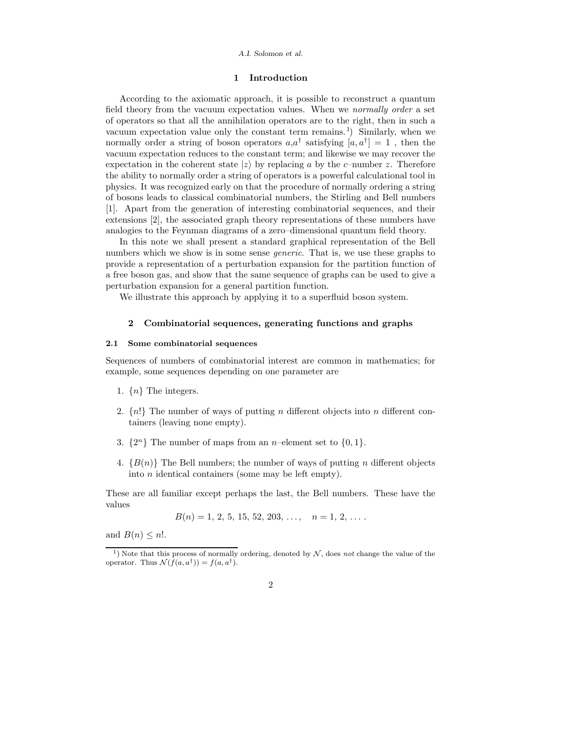#### A.I. Solomon et al.

# 1 Introduction

According to the axiomatic approach, it is possible to reconstruct a quantum field theory from the vacuum expectation values. When we normally order a set of operators so that all the annihilation operators are to the right, then in such a vacuum expectation value only the constant term remains.<sup>1</sup>) Similarly, when we normally order a string of boson operators  $a,a^{\dagger}$  satisfying  $[a,a^{\dagger}] = 1$ , then the vacuum expectation reduces to the constant term; and likewise we may recover the expectation in the coherent state  $|z\rangle$  by replacing a by the c–number z. Therefore the ability to normally order a string of operators is a powerful calculational tool in physics. It was recognized early on that the procedure of normally ordering a string of bosons leads to classical combinatorial numbers, the Stirling and Bell numbers [1]. Apart from the generation of interesting combinatorial sequences, and their extensions [2], the associated graph theory representations of these numbers have analogies to the Feynman diagrams of a zero–dimensional quantum field theory.

In this note we shall present a standard graphical representation of the Bell numbers which we show is in some sense *generic*. That is, we use these graphs to provide a representation of a perturbation expansion for the partition function of a free boson gas, and show that the same sequence of graphs can be used to give a perturbation expansion for a general partition function.

We illustrate this approach by applying it to a superfluid boson system.

# 2 Combinatorial sequences, generating functions and graphs

# 2.1 Some combinatorial sequences

Sequences of numbers of combinatorial interest are common in mathematics; for example, some sequences depending on one parameter are

- 1.  $\{n\}$  The integers.
- 2.  $\{n!\}$  The number of ways of putting *n* different objects into *n* different containers (leaving none empty).
- 3.  $\{2^n\}$  The number of maps from an *n*-element set to  $\{0, 1\}$ .
- 4.  ${B(n)}$  The Bell numbers; the number of ways of putting n different objects into  $n$  identical containers (some may be left empty).

These are all familiar except perhaps the last, the Bell numbers. These have the values

$$
B(n) = 1, 2, 5, 15, 52, 203, \ldots, \quad n = 1, 2, \ldots
$$

and  $B(n) \leq n!$ .

<sup>&</sup>lt;sup>1</sup>) Note that this process of normally ordering, denoted by  $N$ , does not change the value of the operator. Thus  $\mathcal{N}(f(a, a^{\dagger})) = f(a, a^{\dagger}).$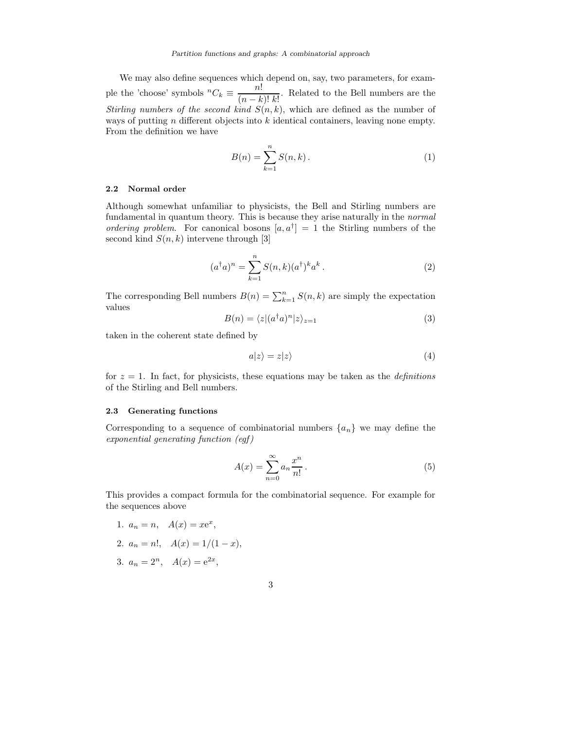We may also define sequences which depend on, say, two parameters, for example the 'choose' symbols  ${}^nC_k \equiv \frac{n!}{(n-k)!}$  $\frac{(n-k)!}{k!}$ . Related to the Bell numbers are the Stirling numbers of the second kind  $S(n, k)$ , which are defined as the number of ways of putting  $n$  different objects into  $k$  identical containers, leaving none empty. From the definition we have

$$
B(n) = \sum_{k=1}^{n} S(n, k).
$$
 (1)

#### 2.2 Normal order

Although somewhat unfamiliar to physicists, the Bell and Stirling numbers are fundamental in quantum theory. This is because they arise naturally in the normal ordering problem. For canonical bosons  $[a, a^{\dagger}] = 1$  the Stirling numbers of the second kind  $S(n, k)$  intervene through [3]

$$
(a†a)n = \sum_{k=1}^{n} S(n,k)(a†)k ak.
$$
 (2)

The corresponding Bell numbers  $B(n) = \sum_{k=1}^{n} S(n, k)$  are simply the expectation values

$$
B(n) = \langle z | (a^\dagger a)^n | z \rangle_{z=1} \tag{3}
$$

taken in the coherent state defined by

$$
a|z\rangle = z|z\rangle \tag{4}
$$

for  $z = 1$ . In fact, for physicists, these equations may be taken as the *definitions* of the Stirling and Bell numbers.

# 2.3 Generating functions

Corresponding to a sequence of combinatorial numbers  $\{a_n\}$  we may define the  $exponential$  generating function  $(egf)$ 

$$
A(x) = \sum_{n=0}^{\infty} a_n \frac{x^n}{n!}.
$$
 (5)

This provides a compact formula for the combinatorial sequence. For example for the sequences above

1.  $a_n = n$ ,  $A(x) = xe^x$ ,

2. 
$$
a_n = n!
$$
,  $A(x) = 1/(1-x)$ ,

3. 
$$
a_n = 2^n
$$
,  $A(x) = e^{2x}$ ,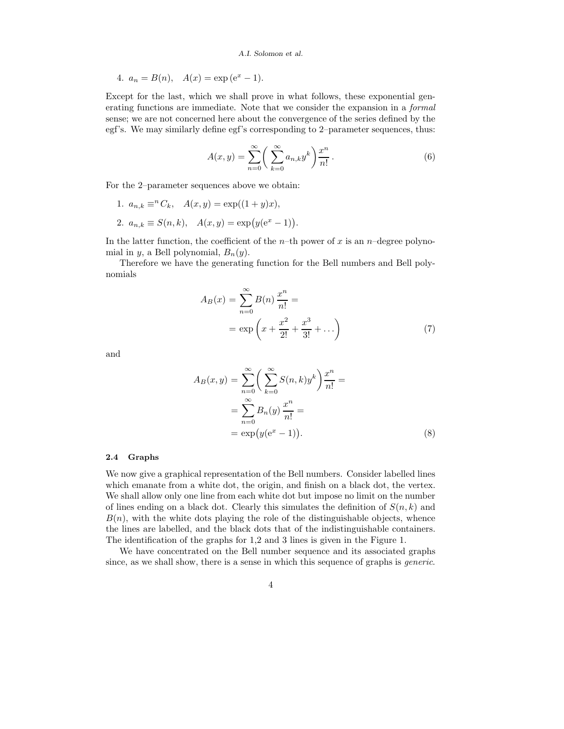#### A.I. Solomon et al.

4. 
$$
a_n = B(n)
$$
,  $A(x) = \exp(e^x - 1)$ .

Except for the last, which we shall prove in what follows, these exponential generating functions are immediate. Note that we consider the expansion in a *formal* sense; we are not concerned here about the convergence of the series defined by the egf's. We may similarly define egf's corresponding to 2–parameter sequences, thus:

$$
A(x,y) = \sum_{n=0}^{\infty} \left( \sum_{k=0}^{\infty} a_{n,k} y^k \right) \frac{x^n}{n!} . \tag{6}
$$

For the 2–parameter sequences above we obtain:

- 1.  $a_{n,k} \equiv^n C_k$ ,  $A(x, y) = \exp((1+y)x)$ ,
- 2.  $a_{n,k} \equiv S(n,k), \quad A(x,y) = \exp(y(e^x 1)).$

In the latter function, the coefficient of the *n*-th power of x is an *n*-degree polynomial in y, a Bell polynomial,  $B_n(y)$ .

Therefore we have the generating function for the Bell numbers and Bell polynomials

$$
A_B(x) = \sum_{n=0}^{\infty} B(n) \frac{x^n}{n!} =
$$
  
= exp  $\left(x + \frac{x^2}{2!} + \frac{x^3}{3!} + ...\right)$  (7)

and

$$
A_B(x,y) = \sum_{n=0}^{\infty} \left( \sum_{k=0}^{\infty} S(n,k)y^k \right) \frac{x^n}{n!} =
$$
  
= 
$$
\sum_{n=0}^{\infty} B_n(y) \frac{x^n}{n!} =
$$
  
= 
$$
\exp(y(e^x - 1)).
$$
 (8)

#### 2.4 Graphs

We now give a graphical representation of the Bell numbers. Consider labelled lines which emanate from a white dot, the origin, and finish on a black dot, the vertex. We shall allow only one line from each white dot but impose no limit on the number of lines ending on a black dot. Clearly this simulates the definition of  $S(n, k)$  and  $B(n)$ , with the white dots playing the role of the distinguishable objects, whence the lines are labelled, and the black dots that of the indistinguishable containers. The identification of the graphs for 1,2 and 3 lines is given in the Figure 1.

We have concentrated on the Bell number sequence and its associated graphs since, as we shall show, there is a sense in which this sequence of graphs is *generic*.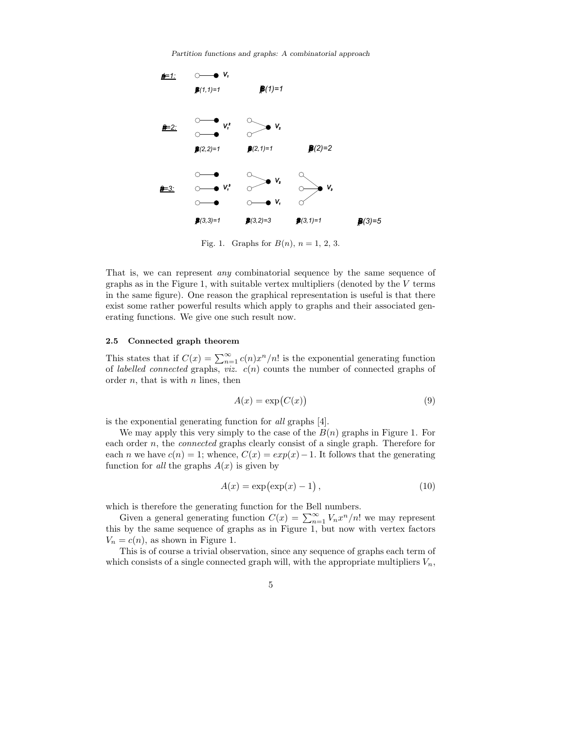Partition functions and graphs: A combinatorial approach



Fig. 1. Graphs for  $B(n)$ ,  $n = 1, 2, 3$ .

That is, we can represent any combinatorial sequence by the same sequence of graphs as in the Figure 1, with suitable vertex multipliers (denoted by the  $V$  terms in the same figure). One reason the graphical representation is useful is that there exist some rather powerful results which apply to graphs and their associated generating functions. We give one such result now.

# 2.5 Connected graph theorem

This states that if  $C(x) = \sum_{n=1}^{\infty} c(n)x^n/n!$  is the exponential generating function of *labelled connected* graphs, *viz.*  $c(n)$  counts the number of connected graphs of order  $n$ , that is with  $n$  lines, then

$$
A(x) = \exp(C(x))\tag{9}
$$

is the exponential generating function for all graphs [4].

We may apply this very simply to the case of the  $B(n)$  graphs in Figure 1. For each order  $n$ , the *connected* graphs clearly consist of a single graph. Therefore for each *n* we have  $c(n) = 1$ ; whence,  $C(x) = exp(x) - 1$ . It follows that the generating function for all the graphs  $A(x)$  is given by

$$
A(x) = \exp(\exp(x) - 1), \qquad (10)
$$

which is therefore the generating function for the Bell numbers.

Given a general generating function  $C(x) = \sum_{n=1}^{\infty} V_n x^n/n!$  we may represent this by the same sequence of graphs as in Figure 1, but now with vertex factors  $V_n = c(n)$ , as shown in Figure 1.

This is of course a trivial observation, since any sequence of graphs each term of which consists of a single connected graph will, with the appropriate multipliers  $V_n$ ,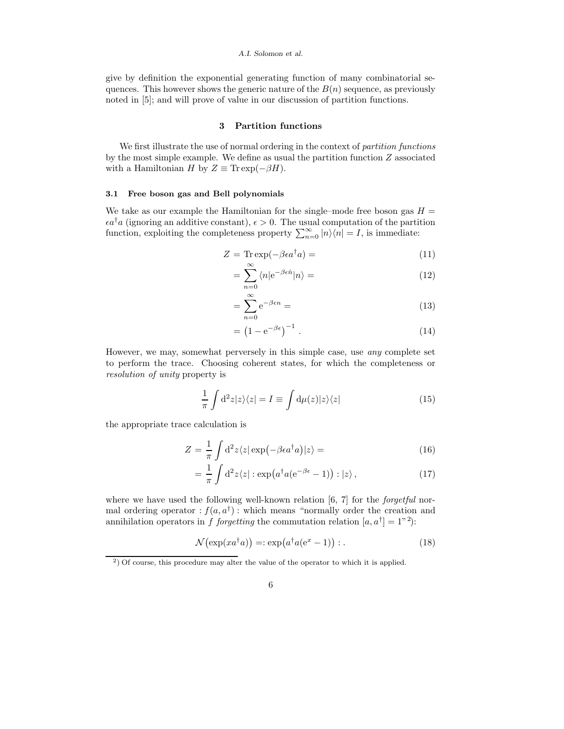#### A.I. Solomon et al.

give by definition the exponential generating function of many combinatorial sequences. This however shows the generic nature of the  $B(n)$  sequence, as previously noted in [5]; and will prove of value in our discussion of partition functions.

# 3 Partition functions

We first illustrate the use of normal ordering in the context of partition functions by the most simple example. We define as usual the partition function  $Z$  associated with a Hamiltonian H by  $Z \equiv \text{Tr} \exp(-\beta H)$ .

#### 3.1 Free boson gas and Bell polynomials

We take as our example the Hamiltonian for the single–mode free boson gas  $H =$  $\epsilon a^{\dagger}a$  (ignoring an additive constant),  $\epsilon > 0$ . The usual computation of the partition function, exploiting the completeness property  $\sum_{n=0}^{\infty} |n\rangle\langle n| = I$ , is immediate:

$$
Z = \text{Tr} \exp(-\beta \epsilon a^{\dagger} a) = \tag{11}
$$

$$
=\sum_{n=0}^{\infty} \langle n | e^{-\beta \epsilon \hat{n}} | n \rangle = \tag{12}
$$

$$
=\sum_{n=0}^{\infty} e^{-\beta \epsilon n} =\tag{13}
$$

$$
= \left(1 - e^{-\beta \epsilon}\right)^{-1} . \tag{14}
$$

However, we may, somewhat perversely in this simple case, use any complete set to perform the trace. Choosing coherent states, for which the completeness or resolution of unity property is

$$
\frac{1}{\pi} \int d^2 z |z\rangle\langle z| = I \equiv \int d\mu(z) |z\rangle\langle z| \tag{15}
$$

the appropriate trace calculation is

$$
Z = \frac{1}{\pi} \int d^2 z \langle z | \exp(-\beta \epsilon a^\dagger a) | z \rangle = \tag{16}
$$

$$
= \frac{1}{\pi} \int d^2 z \langle z | : \exp(a^\dagger a (e^{-\beta \epsilon} - 1)) : | z \rangle , \qquad (17)
$$

where we have used the following well-known relation  $[6, 7]$  for the *forgetful* normal ordering operator  $:f(a,a^{\dagger})$ : which means "normally order the creation and annihilation operators in f forgetting the commutation relation  $[a, a^{\dagger}] = 1^{n^2}$ :

$$
\mathcal{N}(\exp(xa^{\dagger}a)) =: \exp(a^{\dagger}a(e^x - 1)) :.
$$
 (18)

<sup>&</sup>lt;sup>2</sup>) Of course, this procedure may alter the value of the operator to which it is applied.

<sup>6</sup>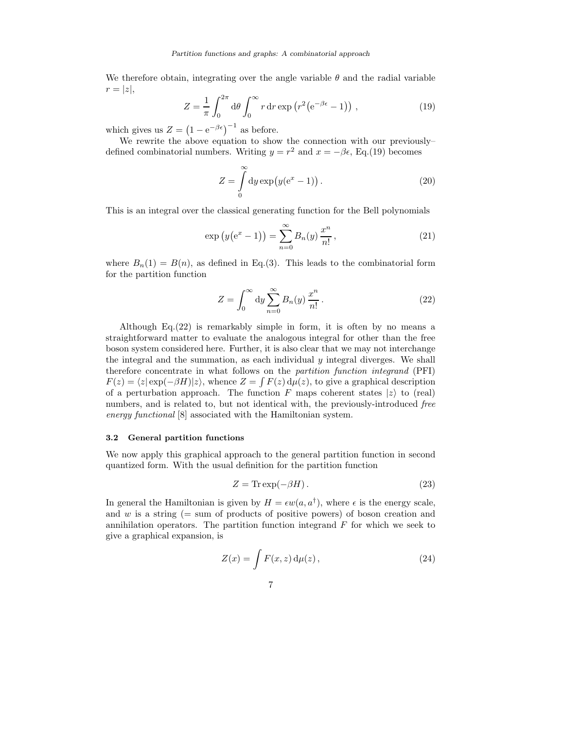We therefore obtain, integrating over the angle variable  $\theta$  and the radial variable  $r = |z|,$ 

$$
Z = \frac{1}{\pi} \int_0^{2\pi} d\theta \int_0^{\infty} r dr \exp(r^2 (e^{-\beta \epsilon} - 1)) , \qquad (19)
$$

which gives us  $Z = (1 - e^{-\beta \epsilon})^{-1}$  as before.

We rewrite the above equation to show the connection with our previously– defined combinatorial numbers. Writing  $y = r^2$  and  $x = -\beta \epsilon$ , Eq.(19) becomes

$$
Z = \int_{0}^{\infty} dy \exp(y(e^x - 1)).
$$
 (20)

This is an integral over the classical generating function for the Bell polynomials

$$
\exp(y(e^x - 1)) = \sum_{n=0}^{\infty} B_n(y) \frac{x^n}{n!},
$$
\n(21)

where  $B_n(1) = B(n)$ , as defined in Eq.(3). This leads to the combinatorial form for the partition function

$$
Z = \int_0^\infty dy \sum_{n=0}^\infty B_n(y) \frac{x^n}{n!} . \tag{22}
$$

Although Eq.(22) is remarkably simple in form, it is often by no means a straightforward matter to evaluate the analogous integral for other than the free boson system considered here. Further, it is also clear that we may not interchange the integral and the summation, as each individual  $y$  integral diverges. We shall therefore concentrate in what follows on the partition function integrand (PFI)  $F(z) = \langle z | \exp(-\beta H) | z \rangle$ , whence  $Z = \int F(z) d\mu(z)$ , to give a graphical description of a perturbation approach. The function F maps coherent states  $|z\rangle$  to (real) numbers, and is related to, but not identical with, the previously-introduced free energy functional [8] associated with the Hamiltonian system.

# 3.2 General partition functions

We now apply this graphical approach to the general partition function in second quantized form. With the usual definition for the partition function

$$
Z = \text{Tr} \exp(-\beta H). \tag{23}
$$

In general the Hamiltonian is given by  $H = \epsilon w(a, a^{\dagger})$ , where  $\epsilon$  is the energy scale, and  $w$  is a string (= sum of products of positive powers) of boson creation and annihilation operators. The partition function integrand  $F$  for which we seek to give a graphical expansion, is

$$
Z(x) = \int F(x, z) d\mu(z), \qquad (24)
$$

7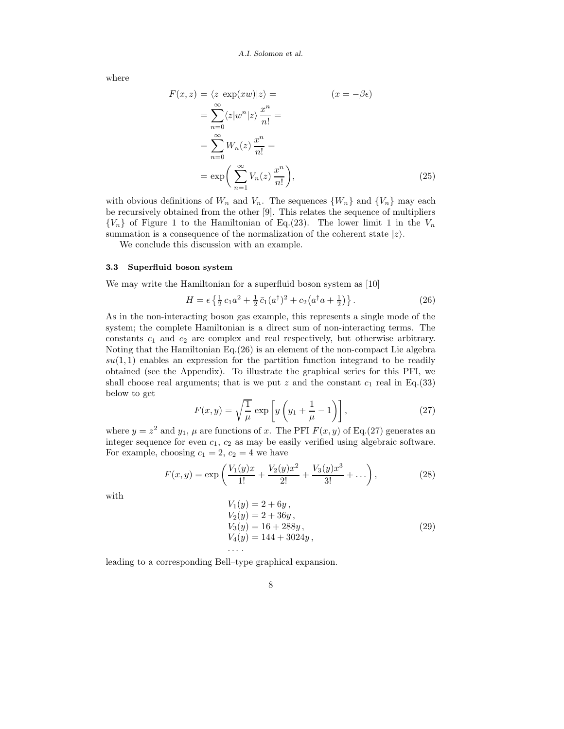where

$$
F(x, z) = \langle z | \exp(xw) | z \rangle = \qquad (x = -\beta \epsilon)
$$
  
= 
$$
\sum_{n=0}^{\infty} \langle z | w^n | z \rangle \frac{x^n}{n!} =
$$
  
= 
$$
\sum_{n=0}^{\infty} W_n(z) \frac{x^n}{n!} =
$$
  
= 
$$
\exp\left(\sum_{n=1}^{\infty} V_n(z) \frac{x^n}{n!}\right),
$$
 (25)

with obvious definitions of  $W_n$  and  $V_n$ . The sequences  $\{W_n\}$  and  $\{V_n\}$  may each be recursively obtained from the other [9]. This relates the sequence of multipliers  ${V_n}$  of Figure 1 to the Hamiltonian of Eq.(23). The lower limit 1 in the  $V_n$ summation is a consequence of the normalization of the coherent state  $|z\rangle$ .

We conclude this discussion with an example.

# 3.3 Superfluid boson system

We may write the Hamiltonian for a superfluid boson system as [10]

$$
H = \epsilon \left\{ \frac{1}{2} c_1 a^2 + \frac{1}{2} \bar{c}_1 (a^{\dagger})^2 + c_2 (a^{\dagger} a + \frac{1}{2}) \right\}.
$$
 (26)

As in the non-interacting boson gas example, this represents a single mode of the system; the complete Hamiltonian is a direct sum of non-interacting terms. The constants  $c_1$  and  $c_2$  are complex and real respectively, but otherwise arbitrary. Noting that the Hamiltonian Eq.(26) is an element of the non-compact Lie algebra  $su(1,1)$  enables an expression for the partition function integrand to be readily obtained (see the Appendix). To illustrate the graphical series for this PFI, we shall choose real arguments; that is we put z and the constant  $c_1$  real in Eq.(33) below to get

$$
F(x,y) = \sqrt{\frac{1}{\mu}} \exp\left[y\left(y_1 + \frac{1}{\mu} - 1\right)\right],\tag{27}
$$

where  $y = z^2$  and  $y_1$ ,  $\mu$  are functions of x. The PFI  $F(x, y)$  of Eq.(27) generates an integer sequence for even  $c_1$ ,  $c_2$  as may be easily verified using algebraic software. For example, choosing  $c_1 = 2$ ,  $c_2 = 4$  we have

$$
F(x,y) = \exp\left(\frac{V_1(y)x}{1!} + \frac{V_2(y)x^2}{2!} + \frac{V_3(y)x^3}{3!} + \dots\right),\tag{28}
$$

with

$$
V_1(y) = 2 + 6y,\nV_2(y) = 2 + 36y,\nV_3(y) = 16 + 288y,\nV_4(y) = 144 + 3024y,
$$
\n(29)

leading to a corresponding Bell–type graphical expansion.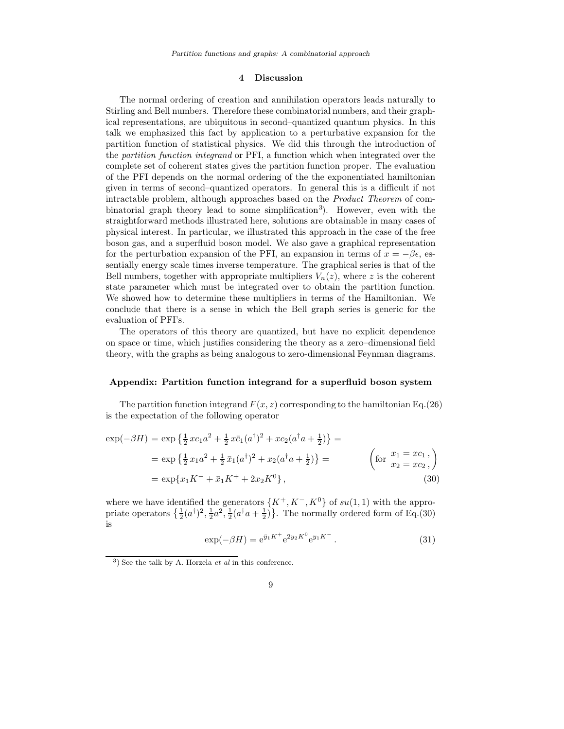# 4 Discussion

The normal ordering of creation and annihilation operators leads naturally to Stirling and Bell numbers. Therefore these combinatorial numbers, and their graphical representations, are ubiquitous in second–quantized quantum physics. In this talk we emphasized this fact by application to a perturbative expansion for the partition function of statistical physics. We did this through the introduction of the partition function integrand or PFI, a function which when integrated over the complete set of coherent states gives the partition function proper. The evaluation of the PFI depends on the normal ordering of the the exponentiated hamiltonian given in terms of second–quantized operators. In general this is a difficult if not intractable problem, although approaches based on the Product Theorem of combinatorial graph theory lead to some simplification<sup>3</sup>). However, even with the straightforward methods illustrated here, solutions are obtainable in many cases of physical interest. In particular, we illustrated this approach in the case of the free boson gas, and a superfluid boson model. We also gave a graphical representation for the perturbation expansion of the PFI, an expansion in terms of  $x = -\beta \epsilon$ , essentially energy scale times inverse temperature. The graphical series is that of the Bell numbers, together with appropriate multipliers  $V_n(z)$ , where z is the coherent state parameter which must be integrated over to obtain the partition function. We showed how to determine these multipliers in terms of the Hamiltonian. We conclude that there is a sense in which the Bell graph series is generic for the evaluation of PFI's.

The operators of this theory are quantized, but have no explicit dependence on space or time, which justifies considering the theory as a zero–dimensional field theory, with the graphs as being analogous to zero-dimensional Feynman diagrams.

# Appendix: Partition function integrand for a superfluid boson system

The partition function integrand  $F(x, z)$  corresponding to the hamiltonian Eq.(26) is the expectation of the following operator

$$
\exp(-\beta H) = \exp\left\{\frac{1}{2}xc_1a^2 + \frac{1}{2}x\bar{c}_1(a^{\dagger})^2 + xc_2(a^{\dagger}a + \frac{1}{2})\right\} =
$$
  
\n
$$
= \exp\left\{\frac{1}{2}x_1a^2 + \frac{1}{2}\bar{x}_1(a^{\dagger})^2 + x_2(a^{\dagger}a + \frac{1}{2})\right\} =
$$
  
\n
$$
= \exp\{x_1K^- + \bar{x}_1K^+ + 2x_2K^0\},
$$
  
\n(30)

where we have identified the generators  $\{K^+, K^-, K^0\}$  of  $su(1, 1)$  with the appropriate operators  $\{\frac{1}{2}(a^{\dagger})^2, \frac{1}{2}a^2, \frac{1}{2}(a^{\dagger}a + \frac{1}{2})\}$ . The normally ordered form of Eq.(30) is

$$
\exp(-\beta H) = e^{\bar{y}_1 K^+} e^{2y_2 K^0} e^{y_1 K^-}.
$$
\n(31)

# 9

 $3)$  See the talk by A. Horzela *et al* in this conference.